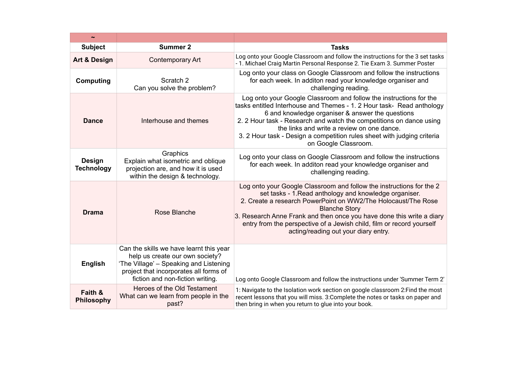| <b>Subject</b>                     | <b>Summer 2</b>                                                                                                                                                                                    | <b>Tasks</b>                                                                                                                                                                                                                                                                                                                                                                                                            |  |
|------------------------------------|----------------------------------------------------------------------------------------------------------------------------------------------------------------------------------------------------|-------------------------------------------------------------------------------------------------------------------------------------------------------------------------------------------------------------------------------------------------------------------------------------------------------------------------------------------------------------------------------------------------------------------------|--|
| <b>Art &amp; Design</b>            | Contemporary Art                                                                                                                                                                                   | Log onto your Google Classroom and follow the instructions for the 3 set tasks<br>- 1. Michael Craig Martin Personal Response 2. Tie Exam 3. Summer Poster                                                                                                                                                                                                                                                              |  |
| Computing                          | Scratch <sub>2</sub><br>Can you solve the problem?                                                                                                                                                 | Log onto your class on Google Classroom and follow the instructions<br>for each week. In additon read your knowledge organiser and<br>challenging reading.                                                                                                                                                                                                                                                              |  |
| <b>Dance</b>                       | Interhouse and themes                                                                                                                                                                              | Log onto your Google Classroom and follow the instructions for the<br>tasks entitled Interhouse and Themes - 1. 2 Hour task- Read anthology<br>6 and knowledge organiser & answer the questions<br>2. 2 Hour task - Research and watch the competitions on dance using<br>the links and write a review on one dance.<br>3. 2 Hour task - Design a competition rules sheet with judging criteria<br>on Google Classroom. |  |
| <b>Design</b><br><b>Technology</b> | Graphics<br>Explain what isometric and oblique<br>projection are, and how it is used<br>within the design & technology.                                                                            | Log onto your class on Google Classroom and follow the instructions<br>for each week. In additon read your knowledge organiser and<br>challenging reading.                                                                                                                                                                                                                                                              |  |
| <b>Drama</b>                       | Rose Blanche                                                                                                                                                                                       | Log onto your Google Classroom and follow the instructions for the 2<br>set tasks - 1. Read anthology and knowledge organiser.<br>2. Create a research PowerPoint on WW2/The Holocaust/The Rose<br><b>Blanche Story</b><br>3. Research Anne Frank and then once you have done this write a diary<br>entry from the perspective of a Jewish child, film or record yourself<br>acting/reading out your diary entry.       |  |
| <b>English</b>                     | Can the skills we have learnt this year<br>help us create our own society?<br>'The Village' - Speaking and Listening<br>project that incorporates all forms of<br>fiction and non-fiction writing. | Log onto Google Classroom and follow the instructions under 'Summer Term 2'                                                                                                                                                                                                                                                                                                                                             |  |
| Faith &<br><b>Philosophy</b>       | Heroes of the Old Testament<br>What can we learn from people in the<br>past?                                                                                                                       | 1: Navigate to the Isolation work section on google classroom 2: Find the most<br>recent lessons that you will miss. 3: Complete the notes or tasks on paper and<br>then bring in when you return to glue into your book.                                                                                                                                                                                               |  |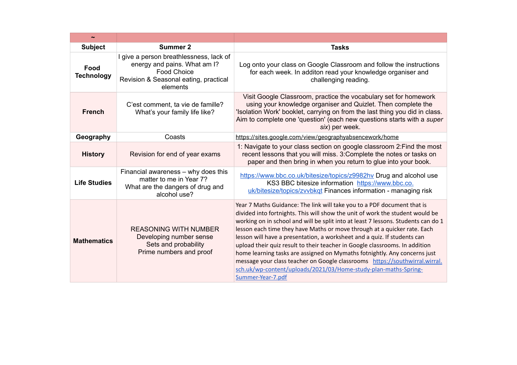| $\tilde{\phantom{a}}$     |                                                                                                                                                    |                                                                                                                                                                                                                                                                                                                                                                                                                                                                                                                                                                                                                                                                                                                                          |  |
|---------------------------|----------------------------------------------------------------------------------------------------------------------------------------------------|------------------------------------------------------------------------------------------------------------------------------------------------------------------------------------------------------------------------------------------------------------------------------------------------------------------------------------------------------------------------------------------------------------------------------------------------------------------------------------------------------------------------------------------------------------------------------------------------------------------------------------------------------------------------------------------------------------------------------------------|--|
| <b>Subject</b>            | Summer 2                                                                                                                                           | <b>Tasks</b>                                                                                                                                                                                                                                                                                                                                                                                                                                                                                                                                                                                                                                                                                                                             |  |
| Food<br><b>Technology</b> | I give a person breathlessness, lack of<br>energy and pains. What am I?<br><b>Food Choice</b><br>Revision & Seasonal eating, practical<br>elements | Log onto your class on Google Classroom and follow the instructions<br>for each week. In additon read your knowledge organiser and<br>challenging reading.                                                                                                                                                                                                                                                                                                                                                                                                                                                                                                                                                                               |  |
| <b>French</b>             | C'est comment, ta vie de famille?<br>What's your family life like?                                                                                 | Visit Google Classroom, practice the vocabulary set for homework<br>using your knowledge organiser and Quizlet. Then complete the<br>'Isolation Work' booklet, carrying on from the last thing you did in class.<br>Aim to complete one 'question' (each new questions starts with a super<br>six) per week.                                                                                                                                                                                                                                                                                                                                                                                                                             |  |
| Geography                 | Coasts                                                                                                                                             | https://sites.google.com/view/geographyabsencework/home                                                                                                                                                                                                                                                                                                                                                                                                                                                                                                                                                                                                                                                                                  |  |
| <b>History</b>            | Revision for end of year exams                                                                                                                     | 1: Navigate to your class section on google classroom 2: Find the most<br>recent lessons that you will miss. 3: Complete the notes or tasks on<br>paper and then bring in when you return to glue into your book.                                                                                                                                                                                                                                                                                                                                                                                                                                                                                                                        |  |
| <b>Life Studies</b>       | Financial awareness - why does this<br>matter to me in Year 7?<br>What are the dangers of drug and<br>alcohol use?                                 | https://www.bbc.co.uk/bitesize/topics/z9982hy Drug and alcohol use<br>KS3 BBC bitesize information https://www.bbc.co.<br>uk/bitesize/topics/zvvbkqt Finances information - managing risk                                                                                                                                                                                                                                                                                                                                                                                                                                                                                                                                                |  |
| <b>Mathematics</b>        | <b>REASONING WITH NUMBER</b><br>Developing number sense<br>Sets and probability<br>Prime numbers and proof                                         | Year 7 Maths Guidance: The link will take you to a PDF document that is<br>divided into fortnights. This will show the unit of work the student would be<br>working on in school and will be split into at least 7 lessons. Students can do 1<br>lesson each time they have Maths or move through at a quicker rate. Each<br>lesson will have a presentation, a worksheet and a quiz. If students can<br>upload their quiz result to their teacher in Google classrooms. In addition<br>home learning tasks are assigned on Mymaths fotnightly. Any concerns just<br>message your class teacher on Google classrooms https://southwirral.wirral.<br>sch.uk/wp-content/uploads/2021/03/Home-study-plan-maths-Spring-<br>Summer-Year-7.pdf |  |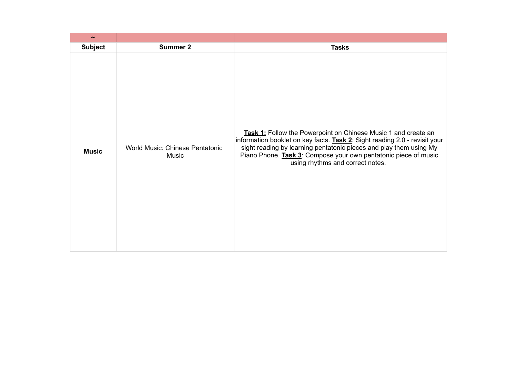| $\tilde{}$     |                                                 |                                                                                                                                                                                                                                                                                                                           |
|----------------|-------------------------------------------------|---------------------------------------------------------------------------------------------------------------------------------------------------------------------------------------------------------------------------------------------------------------------------------------------------------------------------|
| <b>Subject</b> | <b>Summer 2</b>                                 | <b>Tasks</b>                                                                                                                                                                                                                                                                                                              |
| <b>Music</b>   | <b>World Music: Chinese Pentatonic</b><br>Music | Task 1: Follow the Powerpoint on Chinese Music 1 and create an<br>information booklet on key facts. Task 2: Sight reading 2.0 - revisit your<br>sight reading by learning pentatonic pieces and play them using My<br>Piano Phone. Task 3: Compose your own pentatonic piece of music<br>using rhythms and correct notes. |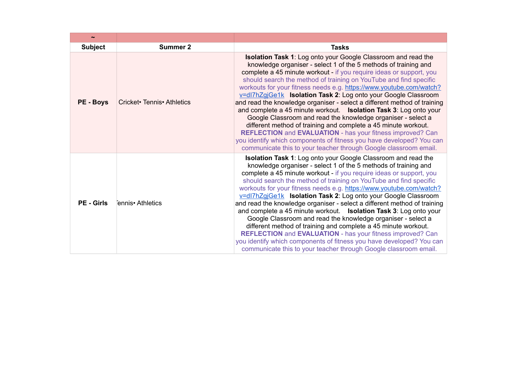| $\sim$            |                            |                                                                                                                                                                                                                                                                                                                                                                                                                                                                                                                                                                                                                                                                                                                                                                                                                                                                                                                                          |
|-------------------|----------------------------|------------------------------------------------------------------------------------------------------------------------------------------------------------------------------------------------------------------------------------------------------------------------------------------------------------------------------------------------------------------------------------------------------------------------------------------------------------------------------------------------------------------------------------------------------------------------------------------------------------------------------------------------------------------------------------------------------------------------------------------------------------------------------------------------------------------------------------------------------------------------------------------------------------------------------------------|
| <b>Subject</b>    | <b>Summer 2</b>            | <b>Tasks</b>                                                                                                                                                                                                                                                                                                                                                                                                                                                                                                                                                                                                                                                                                                                                                                                                                                                                                                                             |
| <b>PE - Boys</b>  | Cricket• Tennis• Athletics | <b>Isolation Task 1:</b> Log onto your Google Classroom and read the<br>knowledge organiser - select 1 of the 5 methods of training and<br>complete a 45 minute workout - if you require ideas or support, you<br>should search the method of training on YouTube and find specific<br>workouts for your fitness needs e.g. https://www.youtube.com/watch?<br>v=dl7hZgjGe1k Isolation Task 2: Log onto your Google Classroom<br>and read the knowledge organiser - select a different method of training<br>and complete a 45 minute workout.  Isolation Task 3: Log onto your<br>Google Classroom and read the knowledge organiser - select a<br>different method of training and complete a 45 minute workout.<br><b>REFLECTION</b> and <b>EVALUATION</b> - has your fitness improved? Can<br>you identify which components of fitness you have developed? You can<br>communicate this to your teacher through Google classroom email. |
| <b>PE - Girls</b> | Fennis• Athletics          | <b>Isolation Task 1:</b> Log onto your Google Classroom and read the<br>knowledge organiser - select 1 of the 5 methods of training and<br>complete a 45 minute workout - if you require ideas or support, you<br>should search the method of training on YouTube and find specific<br>workouts for your fitness needs e.g. https://www.youtube.com/watch?<br>v=dl7hZgjGe1k Isolation Task 2: Log onto your Google Classroom<br>and read the knowledge organiser - select a different method of training<br>and complete a 45 minute workout.  Isolation Task 3: Log onto your<br>Google Classroom and read the knowledge organiser - select a<br>different method of training and complete a 45 minute workout.<br><b>REFLECTION</b> and <b>EVALUATION</b> - has your fitness improved? Can<br>you identify which components of fitness you have developed? You can<br>communicate this to your teacher through Google classroom email. |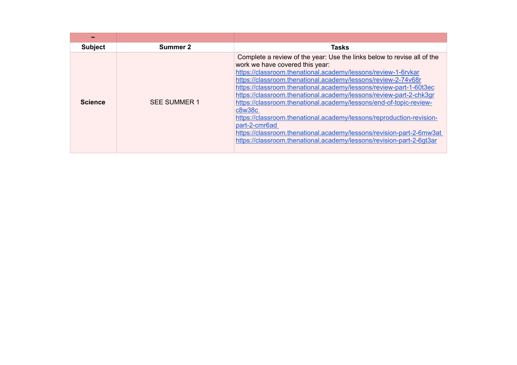| $\tilde{\phantom{a}}$ |                     |                                                                                                                                                                                                                                                                                                                                                                                                                                                                                                                                                                                                                                                                                                                   |
|-----------------------|---------------------|-------------------------------------------------------------------------------------------------------------------------------------------------------------------------------------------------------------------------------------------------------------------------------------------------------------------------------------------------------------------------------------------------------------------------------------------------------------------------------------------------------------------------------------------------------------------------------------------------------------------------------------------------------------------------------------------------------------------|
| <b>Subject</b>        | Summer 2            | <b>Tasks</b>                                                                                                                                                                                                                                                                                                                                                                                                                                                                                                                                                                                                                                                                                                      |
| <b>Science</b>        | <b>SEE SUMMER 1</b> | Complete a review of the year: Use the links below to revise all of the<br>work we have covered this year:<br>https://classroom.thenational.academy/lessons/review-1-6rvkar<br>https://classroom.thenational.academy/lessons/review-2-74v68r<br>https://classroom.thenational.academy/lessons/review-part-1-60t3ec<br>https://classroom.thenational.academy/lessons/review-part-2-chk3gr<br>https://classroom.thenational.academy/lessons/end-of-topic-review-<br>c8w38c<br>https://classroom.thenational.academy/lessons/reproduction-revision-<br>part-2-cmr6ad<br>https://classroom.thenational.academy/lessons/revision-part-2-6mw3at<br>https://classroom.thenational.academy/lessons/revision-part-2-6gt3ar |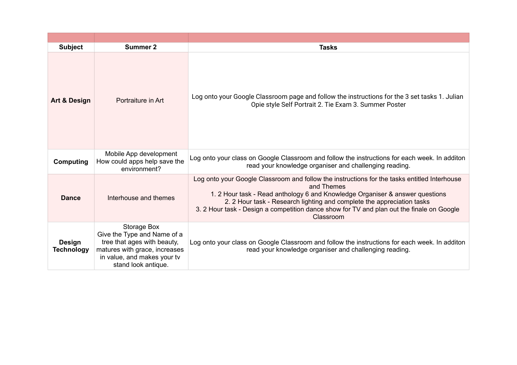| <b>Subject</b>                     | Summer 2                                                                                                                                                                | <b>Tasks</b>                                                                                                                                                                                                                                                                                                                                                                   |
|------------------------------------|-------------------------------------------------------------------------------------------------------------------------------------------------------------------------|--------------------------------------------------------------------------------------------------------------------------------------------------------------------------------------------------------------------------------------------------------------------------------------------------------------------------------------------------------------------------------|
| <b>Art &amp; Design</b>            | Portraiture in Art                                                                                                                                                      | Log onto your Google Classroom page and follow the instructions for the 3 set tasks 1. Julian<br>Opie style Self Portrait 2. Tie Exam 3. Summer Poster                                                                                                                                                                                                                         |
| <b>Computing</b>                   | Mobile App development<br>How could apps help save the<br>environment?                                                                                                  | Log onto your class on Google Classroom and follow the instructions for each week. In additon<br>read your knowledge organiser and challenging reading.                                                                                                                                                                                                                        |
| <b>Dance</b>                       | Interhouse and themes                                                                                                                                                   | Log onto your Google Classroom and follow the instructions for the tasks entitled Interhouse<br>and Themes<br>1. 2 Hour task - Read anthology 6 and Knowledge Organiser & answer questions<br>2. 2 Hour task - Research lighting and complete the appreciation tasks<br>3. 2 Hour task - Design a competition dance show for TV and plan out the finale on Google<br>Classroom |
| <b>Design</b><br><b>Technology</b> | <b>Storage Box</b><br>Give the Type and Name of a<br>tree that ages with beauty,<br>matures with grace, increases<br>in value, and makes your tv<br>stand look antique. | Log onto your class on Google Classroom and follow the instructions for each week. In additon<br>read your knowledge organiser and challenging reading.                                                                                                                                                                                                                        |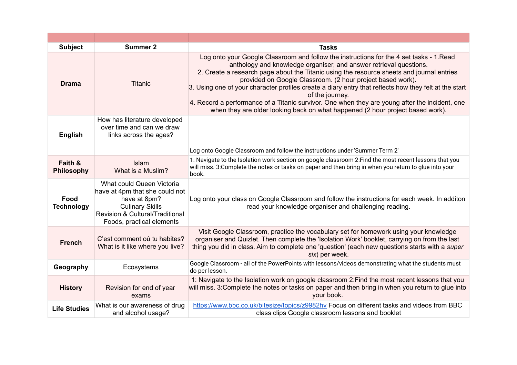| <b>Subject</b>               | <b>Summer 2</b>                                                                                                                                                       | <b>Tasks</b>                                                                                                                                                                                                                                                                                                                                                                                                                                                                                                                                                                                                                              |
|------------------------------|-----------------------------------------------------------------------------------------------------------------------------------------------------------------------|-------------------------------------------------------------------------------------------------------------------------------------------------------------------------------------------------------------------------------------------------------------------------------------------------------------------------------------------------------------------------------------------------------------------------------------------------------------------------------------------------------------------------------------------------------------------------------------------------------------------------------------------|
| <b>Drama</b>                 | <b>Titanic</b>                                                                                                                                                        | Log onto your Google Classroom and follow the instructions for the 4 set tasks - 1. Read<br>anthology and knowledge organiser, and answer retrieval questions.<br>2. Create a research page about the Titanic using the resource sheets and journal entries<br>provided on Google Classroom. (2 hour project based work).<br>3. Using one of your character profiles create a diary entry that reflects how they felt at the start<br>of the journey.<br>4. Record a performance of a Titanic survivor. One when they are young after the incident, one<br>when they are older looking back on what happened (2 hour project based work). |
| <b>English</b>               | How has literature developed<br>over time and can we draw<br>links across the ages?                                                                                   | Log onto Google Classroom and follow the instructions under 'Summer Term 2'                                                                                                                                                                                                                                                                                                                                                                                                                                                                                                                                                               |
|                              |                                                                                                                                                                       |                                                                                                                                                                                                                                                                                                                                                                                                                                                                                                                                                                                                                                           |
| Faith &<br><b>Philosophy</b> | Islam<br>What is a Muslim?                                                                                                                                            | 1: Navigate to the Isolation work section on google classroom 2: Find the most recent lessons that you<br>will miss. 3: Complete the notes or tasks on paper and then bring in when you return to glue into your<br>book.                                                                                                                                                                                                                                                                                                                                                                                                                 |
| Food<br><b>Technology</b>    | What could Queen Victoria<br>have at 4pm that she could not<br>have at 8pm?<br><b>Culinary Skills</b><br>Revision & Cultural/Traditional<br>Foods, practical elements | Log onto your class on Google Classroom and follow the instructions for each week. In additon<br>read your knowledge organiser and challenging reading.                                                                                                                                                                                                                                                                                                                                                                                                                                                                                   |
| <b>French</b>                | C'est comment où tu habites?<br>What is it like where you live?                                                                                                       | Visit Google Classroom, practice the vocabulary set for homework using your knowledge<br>organiser and Quizlet. Then complete the 'Isolation Work' booklet, carrying on from the last<br>thing you did in class. Aim to complete one 'question' (each new questions starts with a super<br>six) per week.                                                                                                                                                                                                                                                                                                                                 |
| Geography                    | Ecosystems                                                                                                                                                            | Google Classroom - all of the PowerPoints with lessons/videos demonstrating what the students must<br>do per lesson.                                                                                                                                                                                                                                                                                                                                                                                                                                                                                                                      |
| <b>History</b>               | Revision for end of year<br>exams                                                                                                                                     | 1: Navigate to the Isolation work on google classroom 2: Find the most recent lessons that you<br>will miss. 3: Complete the notes or tasks on paper and then bring in when you return to glue into<br>your book.                                                                                                                                                                                                                                                                                                                                                                                                                         |
| <b>Life Studies</b>          | What is our awareness of drug<br>and alcohol usage?                                                                                                                   | https://www.bbc.co.uk/bitesize/topics/z9982hv Focus on different tasks and videos from BBC<br>class clips Google classroom lessons and booklet                                                                                                                                                                                                                                                                                                                                                                                                                                                                                            |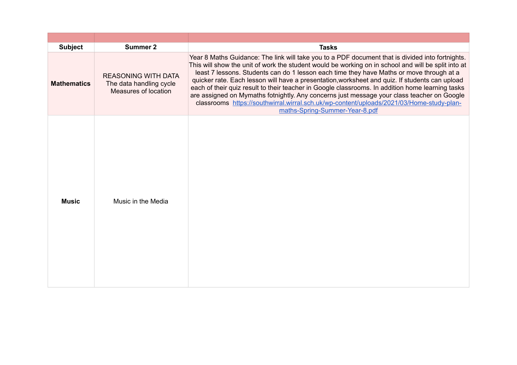| <b>Subject</b>     | <b>Summer 2</b>                                                               | <b>Tasks</b>                                                                                                                                                                                                                                                                                                                                                                                                                                                                                                                                                                                                                                                                                                                          |
|--------------------|-------------------------------------------------------------------------------|---------------------------------------------------------------------------------------------------------------------------------------------------------------------------------------------------------------------------------------------------------------------------------------------------------------------------------------------------------------------------------------------------------------------------------------------------------------------------------------------------------------------------------------------------------------------------------------------------------------------------------------------------------------------------------------------------------------------------------------|
| <b>Mathematics</b> | <b>REASONING WITH DATA</b><br>The data handling cycle<br>Measures of location | Year 8 Maths Guidance: The link will take you to a PDF document that is divided into fortnights.<br>This will show the unit of work the student would be working on in school and will be split into at<br>least 7 lessons. Students can do 1 lesson each time they have Maths or move through at a<br>quicker rate. Each lesson will have a presentation, worksheet and quiz. If students can upload<br>each of their quiz result to their teacher in Google classrooms. In addition home learning tasks<br>are assigned on Mymaths fotnightly. Any concerns just message your class teacher on Google<br>classrooms https://southwirral.wirral.sch.uk/wp-content/uploads/2021/03/Home-study-plan-<br>maths-Spring-Summer-Year-8.pdf |
| <b>Music</b>       | Music in the Media                                                            |                                                                                                                                                                                                                                                                                                                                                                                                                                                                                                                                                                                                                                                                                                                                       |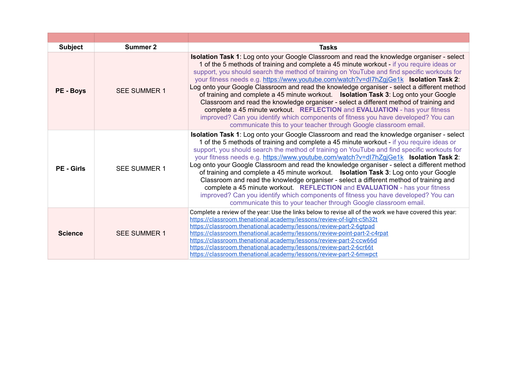| <b>Subject</b>    | Summer 2            | <b>Tasks</b>                                                                                                                                                                                                                                                                                                                                                                                                                                                                                                                                                                                                                                                                                                                                                                                                                                                                                                     |
|-------------------|---------------------|------------------------------------------------------------------------------------------------------------------------------------------------------------------------------------------------------------------------------------------------------------------------------------------------------------------------------------------------------------------------------------------------------------------------------------------------------------------------------------------------------------------------------------------------------------------------------------------------------------------------------------------------------------------------------------------------------------------------------------------------------------------------------------------------------------------------------------------------------------------------------------------------------------------|
| <b>PE - Boys</b>  | <b>SEE SUMMER 1</b> | Isolation Task 1: Log onto your Google Classroom and read the knowledge organiser - select<br>1 of the 5 methods of training and complete a 45 minute workout - if you require ideas or<br>support, you should search the method of training on YouTube and find specific workouts for<br>your fitness needs e.g. https://www.youtube.com/watch?v=dl7hZgjGe1k Isolation Task 2:<br>Log onto your Google Classroom and read the knowledge organiser - select a different method<br>of training and complete a 45 minute workout.  Isolation Task 3: Log onto your Google<br>Classroom and read the knowledge organiser - select a different method of training and<br>complete a 45 minute workout. REFLECTION and EVALUATION - has your fitness<br>improved? Can you identify which components of fitness you have developed? You can<br>communicate this to your teacher through Google classroom email.        |
| <b>PE</b> - Girls | <b>SEE SUMMER 1</b> | <b>Isolation Task 1:</b> Log onto your Google Classroom and read the knowledge organiser - select<br>1 of the 5 methods of training and complete a 45 minute workout - if you require ideas or<br>support, you should search the method of training on YouTube and find specific workouts for<br>your fitness needs e.g. https://www.youtube.com/watch?v=dl7hZgjGe1k Isolation Task 2:<br>Log onto your Google Classroom and read the knowledge organiser - select a different method<br>of training and complete a 45 minute workout.  Isolation Task 3: Log onto your Google<br>Classroom and read the knowledge organiser - select a different method of training and<br>complete a 45 minute workout. REFLECTION and EVALUATION - has your fitness<br>improved? Can you identify which components of fitness you have developed? You can<br>communicate this to your teacher through Google classroom email. |
| <b>Science</b>    | <b>SEE SUMMER 1</b> | Complete a review of the year: Use the links below to revise all of the work we have covered this year:<br>https://classroom.thenational.academy/lessons/review-of-light-c5h32t<br>https://classroom.thenational.academy/lessons/review-part-2-6qtpad<br>https://classroom.thenational.academy/lessons/review-point-part-2-c4rpat<br>https://classroom.thenational.academy/lessons/review-part-2-ccw66d<br>https://classroom.thenational.academy/lessons/review-part-2-6cr66t<br>https://classroom.thenational.academy/lessons/review-part-2-6mwpct                                                                                                                                                                                                                                                                                                                                                              |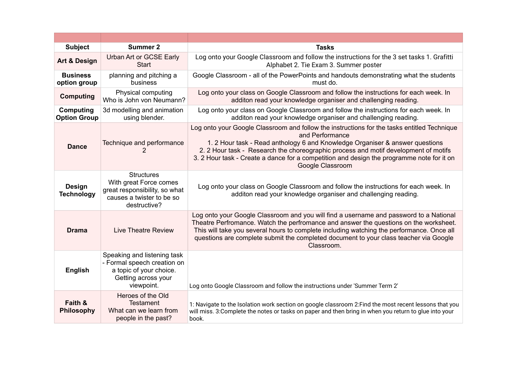| <b>Subject</b>                          | <b>Summer 2</b>                                                                                                            | <b>Tasks</b>                                                                                                                                                                                                                                                                                                                                                                                           |
|-----------------------------------------|----------------------------------------------------------------------------------------------------------------------------|--------------------------------------------------------------------------------------------------------------------------------------------------------------------------------------------------------------------------------------------------------------------------------------------------------------------------------------------------------------------------------------------------------|
| <b>Art &amp; Design</b>                 | Urban Art or GCSE Early<br><b>Start</b>                                                                                    | Log onto your Google Classroom and follow the instructions for the 3 set tasks 1. Grafitti<br>Alphabet 2. Tie Exam 3. Summer poster                                                                                                                                                                                                                                                                    |
| <b>Business</b><br>option group         | planning and pitching a<br>business                                                                                        | Google Classroom - all of the PowerPoints and handouts demonstrating what the students<br>must do.                                                                                                                                                                                                                                                                                                     |
| <b>Computing</b>                        | Physical computing<br>Who is John von Neumann?                                                                             | Log onto your class on Google Classroom and follow the instructions for each week. In<br>additon read your knowledge organiser and challenging reading.                                                                                                                                                                                                                                                |
| <b>Computing</b><br><b>Option Group</b> | 3d modelling and animation<br>using blender.                                                                               | Log onto your class on Google Classroom and follow the instructions for each week. In<br>additon read your knowledge organiser and challenging reading.                                                                                                                                                                                                                                                |
| <b>Dance</b>                            | Technique and performance<br>2                                                                                             | Log onto your Google Classroom and follow the instructions for the tasks entitled Technique<br>and Performance<br>1. 2 Hour task - Read anthology 6 and Knowledge Organiser & answer questions<br>2. 2 Hour task - Research the choreographic process and motif development of motifs<br>3. 2 Hour task - Create a dance for a competition and design the programme note for it on<br>Google Classroom |
| <b>Design</b><br><b>Technology</b>      | <b>Structures</b><br>With great Force comes<br>great responsibility, so what<br>causes a twister to be so<br>destructive?  | Log onto your class on Google Classroom and follow the instructions for each week. In<br>additon read your knowledge organiser and challenging reading.                                                                                                                                                                                                                                                |
| <b>Drama</b>                            | <b>Live Theatre Review</b>                                                                                                 | Log onto your Google Classroom and you will find a username and password to a National<br>Theatre Perfromance. Watch the perfromance and answer the questions on the worksheet.<br>This will take you several hours to complete including watching the performance. Once all<br>questions are complete submit the completed document to your class teacher via Google<br>Classroom.                    |
| <b>English</b>                          | Speaking and listening task<br>- Formal speech creation on<br>a topic of your choice.<br>Getting across your<br>viewpoint. | Log onto Google Classroom and follow the instructions under 'Summer Term 2'                                                                                                                                                                                                                                                                                                                            |
| Faith &<br><b>Philosophy</b>            | Heroes of the Old<br><b>Testament</b><br>What can we learn from<br>people in the past?                                     | 1: Navigate to the Isolation work section on google classroom 2: Find the most recent lessons that you<br>will miss. 3: Complete the notes or tasks on paper and then bring in when you return to glue into your<br>book.                                                                                                                                                                              |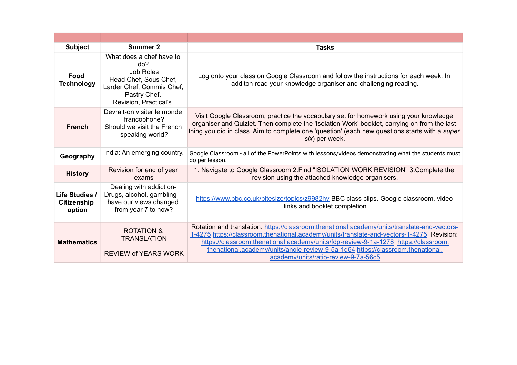| <b>Subject</b>                                        | Summer 2                                                                                                                                            | <b>Tasks</b>                                                                                                                                                                                                                                                                                                                                                                                                |
|-------------------------------------------------------|-----------------------------------------------------------------------------------------------------------------------------------------------------|-------------------------------------------------------------------------------------------------------------------------------------------------------------------------------------------------------------------------------------------------------------------------------------------------------------------------------------------------------------------------------------------------------------|
| Food<br><b>Technology</b>                             | What does a chef have to<br>do?<br><b>Job Roles</b><br>Head Chef, Sous Chef,<br>Larder Chef, Commis Chef,<br>Pastry Chef.<br>Revision, Practical's. | Log onto your class on Google Classroom and follow the instructions for each week. In<br>additon read your knowledge organiser and challenging reading.                                                                                                                                                                                                                                                     |
| <b>French</b>                                         | Devrait-on visiter le monde<br>francophone?<br>Should we visit the French<br>speaking world?                                                        | Visit Google Classroom, practice the vocabulary set for homework using your knowledge<br>organiser and Quizlet. Then complete the 'Isolation Work' booklet, carrying on from the last<br>thing you did in class. Aim to complete one 'question' (each new questions starts with a super<br>six) per week.                                                                                                   |
| Geography                                             | India: An emerging country.                                                                                                                         | Google Classroom - all of the PowerPoints with lessons/videos demonstrating what the students must<br>do per lesson.                                                                                                                                                                                                                                                                                        |
| <b>History</b>                                        | Revision for end of year<br>exams                                                                                                                   | 1: Navigate to Google Classroom 2: Find "ISOLATION WORK REVISION" 3: Complete the<br>revision using the attached knowledge organisers.                                                                                                                                                                                                                                                                      |
| <b>Life Studies /</b><br><b>Citizenship</b><br>option | Dealing with addiction-<br>Drugs, alcohol, gambling -<br>have our views changed<br>from year 7 to now?                                              | https://www.bbc.co.uk/bitesize/topics/z9982hy BBC class clips. Google classroom, video<br>links and booklet completion                                                                                                                                                                                                                                                                                      |
| <b>Mathematics</b>                                    | <b>ROTATION &amp;</b><br><b>TRANSLATION</b><br><b>REVIEW of YEARS WORK</b>                                                                          | Rotation and translation: https://classroom.thenational.academy/units/translate-and-vectors-<br>1-4275 https://classroom.thenational.academy/units/translate-and-vectors-1-4275 Revision:<br>https://classroom.thenational.academy/units/fdp-review-9-1a-1278 https://classroom.<br>thenational.academy/units/angle-review-9-5a-1d64 https://classroom.thenational.<br>academy/units/ratio-review-9-7a-56c5 |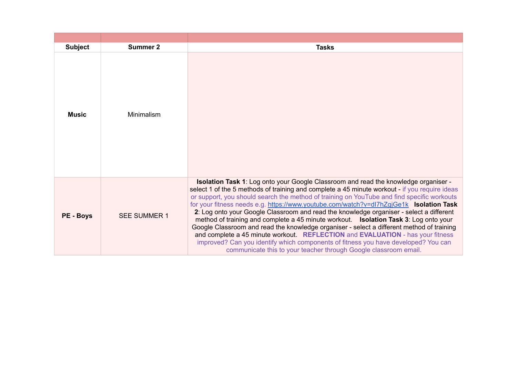| <b>Subject</b>   | <b>Summer 2</b>     | <b>Tasks</b>                                                                                                                                                                                                                                                                                                                                                                                                                                                                                                                                                                                                                                                                                                                                                                                                                                                                                                           |
|------------------|---------------------|------------------------------------------------------------------------------------------------------------------------------------------------------------------------------------------------------------------------------------------------------------------------------------------------------------------------------------------------------------------------------------------------------------------------------------------------------------------------------------------------------------------------------------------------------------------------------------------------------------------------------------------------------------------------------------------------------------------------------------------------------------------------------------------------------------------------------------------------------------------------------------------------------------------------|
| Music            | Minimalism          |                                                                                                                                                                                                                                                                                                                                                                                                                                                                                                                                                                                                                                                                                                                                                                                                                                                                                                                        |
| <b>PE - Boys</b> | <b>SEE SUMMER 1</b> | <b>Isolation Task 1:</b> Log onto your Google Classroom and read the knowledge organiser -<br>select 1 of the 5 methods of training and complete a 45 minute workout - if you require ideas<br>or support, you should search the method of training on YouTube and find specific workouts<br>for your fitness needs e.g. https://www.youtube.com/watch?v=dl7hZgjGe1k Isolation Task<br>2: Log onto your Google Classroom and read the knowledge organiser - select a different<br>method of training and complete a 45 minute workout. <b>Isolation Task 3</b> : Log onto your<br>Google Classroom and read the knowledge organiser - select a different method of training<br>and complete a 45 minute workout REFLECTION and EVALUATION - has your fitness<br>improved? Can you identify which components of fitness you have developed? You can<br>communicate this to your teacher through Google classroom email. |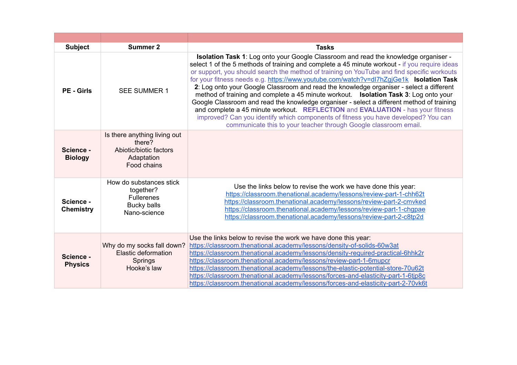| <b>Subject</b>                | <b>Summer 2</b>                                                                                 | <b>Tasks</b>                                                                                                                                                                                                                                                                                                                                                                                                                                                                                                                                                                                                                                                                                                                                                                                                                                                                                                     |
|-------------------------------|-------------------------------------------------------------------------------------------------|------------------------------------------------------------------------------------------------------------------------------------------------------------------------------------------------------------------------------------------------------------------------------------------------------------------------------------------------------------------------------------------------------------------------------------------------------------------------------------------------------------------------------------------------------------------------------------------------------------------------------------------------------------------------------------------------------------------------------------------------------------------------------------------------------------------------------------------------------------------------------------------------------------------|
| <b>PE</b> - Girls             | <b>SEE SUMMER 1</b>                                                                             | Isolation Task 1: Log onto your Google Classroom and read the knowledge organiser -<br>select 1 of the 5 methods of training and complete a 45 minute workout - if you require ideas<br>or support, you should search the method of training on YouTube and find specific workouts<br>for your fitness needs e.g. https://www.youtube.com/watch?v=dl7hZqjGe1k Isolation Task<br>2: Log onto your Google Classroom and read the knowledge organiser - select a different<br>method of training and complete a 45 minute workout. <b>Isolation Task 3</b> : Log onto your<br>Google Classroom and read the knowledge organiser - select a different method of training<br>and complete a 45 minute workout. REFLECTION and EVALUATION - has your fitness<br>improved? Can you identify which components of fitness you have developed? You can<br>communicate this to your teacher through Google classroom email. |
| Science -<br><b>Biology</b>   | Is there anything living out<br>there?<br>Abiotic/biotic factors<br>Adaptation<br>Food chains   |                                                                                                                                                                                                                                                                                                                                                                                                                                                                                                                                                                                                                                                                                                                                                                                                                                                                                                                  |
| Science -<br><b>Chemistry</b> | How do substances stick<br>together?<br><b>Fullerenes</b><br><b>Bucky balls</b><br>Nano-science | Use the links below to revise the work we have done this year:<br>https://classroom.thenational.academy/lessons/review-part-1-chh62t<br>https://classroom.thenational.academy/lessons/review-part-2-cmvked<br>https://classroom.thenational.academy/lessons/review-part-1-chqpae<br>https://classroom.thenational.academy/lessons/review-part-2-c8tp2d                                                                                                                                                                                                                                                                                                                                                                                                                                                                                                                                                           |
| Science -<br><b>Physics</b>   | Why do my socks fall down?<br>Elastic deformation<br>Springs<br>Hooke's law                     | Use the links below to revise the work we have done this year:<br>https://classroom.thenational.academy/lessons/density-of-solids-60w3at<br>https://classroom.thenational.academy/lessons/density-required-practical-6hhk2r<br>https://classroom.thenational.academy/lessons/review-part-1-6mupcr<br>https://classroom.thenational.academy/lessons/the-elastic-potential-store-70u62t<br>https://classroom.thenational.academy/lessons/forces-and-elasticity-part-1-6tip8c<br>https://classroom.thenational.academy/lessons/forces-and-elasticity-part-2-70vk6t                                                                                                                                                                                                                                                                                                                                                  |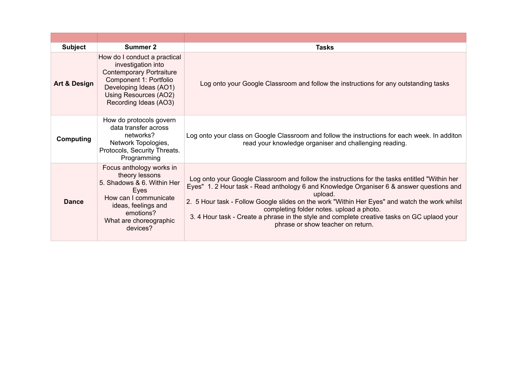| <b>Subject</b>          | <b>Summer 2</b>                                                                                                                                                                             | <b>Tasks</b>                                                                                                                                                                                                                                                                                                                                                                                                                                                                          |
|-------------------------|---------------------------------------------------------------------------------------------------------------------------------------------------------------------------------------------|---------------------------------------------------------------------------------------------------------------------------------------------------------------------------------------------------------------------------------------------------------------------------------------------------------------------------------------------------------------------------------------------------------------------------------------------------------------------------------------|
| <b>Art &amp; Design</b> | How do I conduct a practical<br>investigation into<br><b>Contemporary Portraiture</b><br>Component 1: Portfolio<br>Developing Ideas (AO1)<br>Using Resources (AO2)<br>Recording Ideas (AO3) | Log onto your Google Classroom and follow the instructions for any outstanding tasks                                                                                                                                                                                                                                                                                                                                                                                                  |
| <b>Computing</b>        | How do protocols govern<br>data transfer across<br>networks?<br>Network Topologies,<br>Protocols, Security Threats.<br>Programming                                                          | Log onto your class on Google Classroom and follow the instructions for each week. In additon<br>read your knowledge organiser and challenging reading.                                                                                                                                                                                                                                                                                                                               |
| <b>Dance</b>            | Focus anthology works in<br>theory lessons<br>5. Shadows & 6. Within Her<br>Eyes<br>How can I communicate<br>ideas, feelings and<br>emotions?<br>What are choreographic<br>devices?         | Log onto your Google Classroom and follow the instructions for the tasks entitled "Within her<br>Eyes" 1. 2 Hour task - Read anthology 6 and Knowledge Organiser 6 & answer questions and<br>upload.<br>2. 5 Hour task - Follow Google slides on the work "Within Her Eyes" and watch the work whilst<br>completing folder notes. upload a photo.<br>3. 4 Hour task - Create a phrase in the style and complete creative tasks on GC uplaod your<br>phrase or show teacher on return. |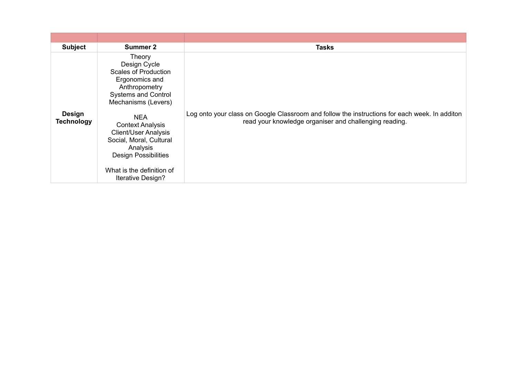| <b>Subject</b>                     | <b>Summer 2</b>                                                                                                                                                                              | <b>Tasks</b>                                                                                                                                            |
|------------------------------------|----------------------------------------------------------------------------------------------------------------------------------------------------------------------------------------------|---------------------------------------------------------------------------------------------------------------------------------------------------------|
|                                    | Theory<br>Design Cycle<br><b>Scales of Production</b><br>Ergonomics and<br>Anthropometry<br><b>Systems and Control</b><br>Mechanisms (Levers)                                                |                                                                                                                                                         |
| <b>Design</b><br><b>Technology</b> | <b>NEA</b><br><b>Context Analysis</b><br><b>Client/User Analysis</b><br>Social, Moral, Cultural<br>Analysis<br><b>Design Possibilities</b><br>What is the definition of<br>Iterative Design? | Log onto your class on Google Classroom and follow the instructions for each week. In additon<br>read your knowledge organiser and challenging reading. |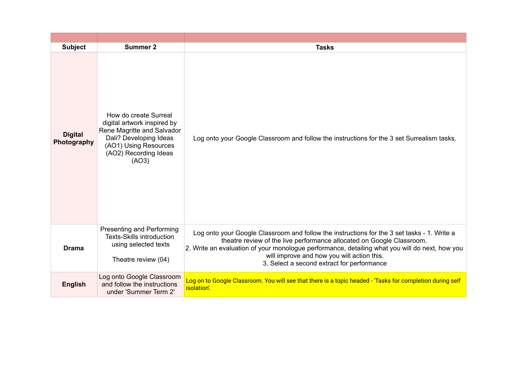| <b>Subject</b>                | Summer 2                                                                                                                                                                | <b>Tasks</b>                                                                                                                                                                                                                                                                                                                                                       |
|-------------------------------|-------------------------------------------------------------------------------------------------------------------------------------------------------------------------|--------------------------------------------------------------------------------------------------------------------------------------------------------------------------------------------------------------------------------------------------------------------------------------------------------------------------------------------------------------------|
| <b>Digital</b><br>Photography | How do create Surreal<br>digital artwork inspired by<br>Rene Magritte and Salvador<br>Dali? Developing Ideas<br>(AO1) Using Resources<br>(AO2) Recording Ideas<br>(AO3) | Log onto your Google Classroom and follow the instructions for the 3 set Surrealism tasks.                                                                                                                                                                                                                                                                         |
| <b>Drama</b>                  | Presenting and Performing<br><b>Texts-Skills introduction</b><br>using selected texts<br>Theatre review (04)                                                            | Log onto your Google Classroom and follow the instructions for the 3 set tasks - 1. Write a<br>theatre review of the live performance allocated on Google Classroom.<br>2. Write an evaluation of your monologue performance, detailing what you will do next, how you<br>will improve and how you will action this.<br>3. Select a second extract for performance |
| <b>English</b>                | Log onto Google Classroom<br>and follow the instructions<br>under 'Summer Term 2'                                                                                       | Log on to Google Classroom. You will see that there is a topic headed - 'Tasks for completion during self<br>isolation'.                                                                                                                                                                                                                                           |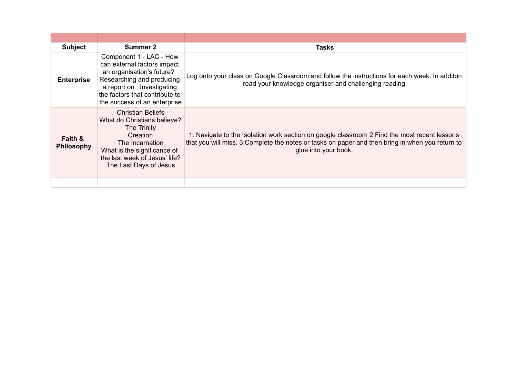| <b>Subject</b>                          | <b>Summer 2</b>                                                                                                                                                                                                   | Tasks                                                                                                                                                                                                                     |
|-----------------------------------------|-------------------------------------------------------------------------------------------------------------------------------------------------------------------------------------------------------------------|---------------------------------------------------------------------------------------------------------------------------------------------------------------------------------------------------------------------------|
| <b>Enterprise</b>                       | Component 1 - LAC - How<br>can external factors impact<br>an organisation's future?<br>Researching and producing<br>a report on : Investigating<br>the factors that contribute to<br>the success of an enterprise | Log onto your class on Google Classroom and follow the instructions for each week. In additon<br>read your knowledge organiser and challenging reading.                                                                   |
| <b>Faith &amp;</b><br><b>Philosophy</b> | <b>Christian Beliefs</b><br>What do Christians believe?<br>The Trinity<br>Creation<br>The Incarnation<br>What is the significance of<br>the last week of Jesus' life?<br>The Last Days of Jesus                   | 1: Navigate to the Isolation work section on google classroom 2: Find the most recent lessons<br>that you will miss. 3: Complete the notes or tasks on paper and then bring in when you return to<br>glue into your book. |
|                                         |                                                                                                                                                                                                                   |                                                                                                                                                                                                                           |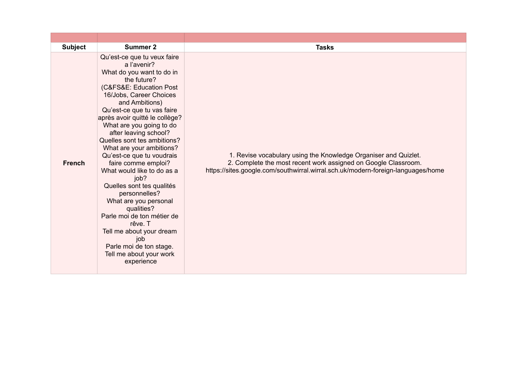| <b>Subject</b> | <b>Summer 2</b>                                                                                                                                                                                                                                                                                                                                                                                                                                                                                                                                                                                                                                                               | <b>Tasks</b>                                                                                                                                                                                                          |
|----------------|-------------------------------------------------------------------------------------------------------------------------------------------------------------------------------------------------------------------------------------------------------------------------------------------------------------------------------------------------------------------------------------------------------------------------------------------------------------------------------------------------------------------------------------------------------------------------------------------------------------------------------------------------------------------------------|-----------------------------------------------------------------------------------------------------------------------------------------------------------------------------------------------------------------------|
| <b>French</b>  | Qu'est-ce que tu veux faire<br>a l'avenir?<br>What do you want to do in<br>the future?<br>(C&FS&E: Education Post<br>16/Jobs, Career Choices<br>and Ambitions)<br>Qu'est-ce que tu vas faire<br>après avoir quitté le collège?<br>What are you going to do<br>after leaving school?<br>Quelles sont tes ambitions?<br>What are your ambitions?<br>Qu'est-ce que tu voudrais<br>faire comme emploi?<br>What would like to do as a<br>job?<br>Quelles sont tes qualités<br>personnelles?<br>What are you personal<br>qualities?<br>Parle moi de ton métier de<br>rêve. T<br>Tell me about your dream<br>job<br>Parle moi de ton stage.<br>Tell me about your work<br>experience | 1. Revise vocabulary using the Knowledge Organiser and Quizlet.<br>2. Complete the most recent work assigned on Google Classroom.<br>https://sites.google.com/southwirral.wirral.sch.uk/modern-foreign-languages/home |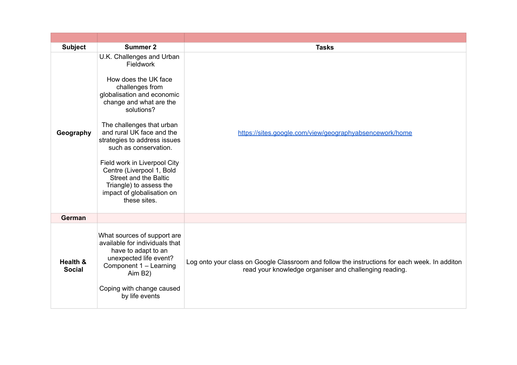| <b>Subject</b>            | <b>Summer 2</b>                                                                                                                                                                                                                                                                                                                                                                                                                                          | <b>Tasks</b>                                                                                                                                            |
|---------------------------|----------------------------------------------------------------------------------------------------------------------------------------------------------------------------------------------------------------------------------------------------------------------------------------------------------------------------------------------------------------------------------------------------------------------------------------------------------|---------------------------------------------------------------------------------------------------------------------------------------------------------|
| Geography                 | U.K. Challenges and Urban<br><b>Fieldwork</b><br>How does the UK face<br>challenges from<br>globalisation and economic<br>change and what are the<br>solutions?<br>The challenges that urban<br>and rural UK face and the<br>strategies to address issues<br>such as conservation.<br>Field work in Liverpool City<br>Centre (Liverpool 1, Bold<br><b>Street and the Baltic</b><br>Triangle) to assess the<br>impact of globalisation on<br>these sites. | https://sites.google.com/view/geographyabsencework/home                                                                                                 |
| German                    |                                                                                                                                                                                                                                                                                                                                                                                                                                                          |                                                                                                                                                         |
| Health &<br><b>Social</b> | What sources of support are<br>available for individuals that<br>have to adapt to an<br>unexpected life event?<br>Component 1 - Learning<br>Aim B2)<br>Coping with change caused<br>by life events                                                                                                                                                                                                                                                       | Log onto your class on Google Classroom and follow the instructions for each week. In additon<br>read your knowledge organiser and challenging reading. |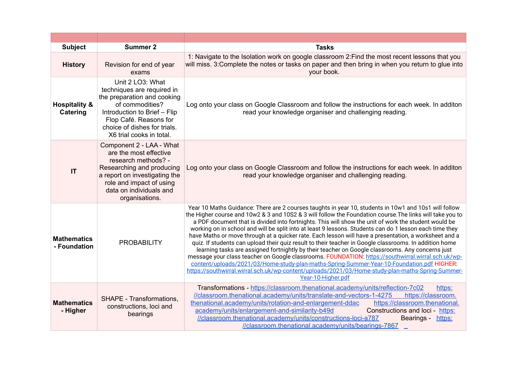| <b>Subject</b>                       | <b>Summer 2</b>                                                                                                                                                                                                        | <b>Tasks</b>                                                                                                                                                                                                                                                                                                                                                                                                                                                                                                                                                                                                                                                                                                                                                                                                                                                                                                                                                                                                                                                                                |
|--------------------------------------|------------------------------------------------------------------------------------------------------------------------------------------------------------------------------------------------------------------------|---------------------------------------------------------------------------------------------------------------------------------------------------------------------------------------------------------------------------------------------------------------------------------------------------------------------------------------------------------------------------------------------------------------------------------------------------------------------------------------------------------------------------------------------------------------------------------------------------------------------------------------------------------------------------------------------------------------------------------------------------------------------------------------------------------------------------------------------------------------------------------------------------------------------------------------------------------------------------------------------------------------------------------------------------------------------------------------------|
| <b>History</b>                       | Revision for end of year<br>exams                                                                                                                                                                                      | 1: Navigate to the Isolation work on google classroom 2: Find the most recent lessons that you<br>will miss. 3: Complete the notes or tasks on paper and then bring in when you return to glue into<br>your book.                                                                                                                                                                                                                                                                                                                                                                                                                                                                                                                                                                                                                                                                                                                                                                                                                                                                           |
| <b>Hospitality &amp;</b><br>Catering | Unit 2 LO3: What<br>techniques are required in<br>the preparation and cooking<br>of commodities?<br>Introduction to Brief - Flip<br>Flop Café. Reasons for<br>choice of dishes for trials.<br>X6 trial cooks in total. | Log onto your class on Google Classroom and follow the instructions for each week. In additon<br>read your knowledge organiser and challenging reading.                                                                                                                                                                                                                                                                                                                                                                                                                                                                                                                                                                                                                                                                                                                                                                                                                                                                                                                                     |
| $\mathsf{I}\mathsf{T}$               | Component 2 - LAA - What<br>are the most effective<br>research methods? -<br>Researching and producing<br>a report on investigating the<br>role and impact of using<br>data on individuals and<br>organisations.       | Log onto your class on Google Classroom and follow the instructions for each week. In additon<br>read your knowledge organiser and challenging reading.                                                                                                                                                                                                                                                                                                                                                                                                                                                                                                                                                                                                                                                                                                                                                                                                                                                                                                                                     |
| <b>Mathematics</b><br>- Foundation   | <b>PROBABILITY</b>                                                                                                                                                                                                     | Year 10 Maths Guidance: There are 2 courses taughts in year 10, students in 10w1 and 10s1 will follow<br>the Higher course and 10w2 & 3 and 10S2 & 3 will follow the Foundation course. The links will take you to<br>a PDF document that is divided into fortnights. This will show the unit of work the student would be<br>working on in school and will be split into at least 9 lessons. Students can do 1 lesson each time they<br>have Maths or move through at a quicker rate. Each lesson will have a presentation, a worksheet and a<br>quiz. If students can upload their quiz result to their teacher in Google classrooms. In addition home<br>learning tasks are assigned fortnightly by their teacher on Google classrooms. Any concerns just<br>message your class teacher on Google classrooms. FOUNDATION: https://southwirral.wirral.sch.uk/wp-<br>content/uploads/2021/03/Home-study-plan-maths-Spring-Summer-Year-10-Foundation.pdf HIGHER:<br>https://southwirral.wirral.sch.uk/wp-content/uploads/2021/03/Home-study-plan-maths-Spring-Summer-<br>Year-10-Higher.pdf |
| <b>Mathematics</b><br>- Higher       | SHAPE - Transformations,<br>constructions, loci and<br>bearings                                                                                                                                                        | Transformations - https://classroom.thenational.academy/units/reflection-7c02<br>https:<br>//classroom.thenational.academy/units/translate-and-vectors-1-4275<br>https://classroom.<br>thenational.academy/units/rotation-and-enlargement-ddac<br>https://classroom.thenational.<br>academy/units/enlargement-and-similarity-b49d<br>Constructions and loci - https:<br>//classroom.thenational.academy/units/constructions-loci-a787<br>Bearings - https:<br>//classroom.thenational.academy/units/bearings-7867                                                                                                                                                                                                                                                                                                                                                                                                                                                                                                                                                                           |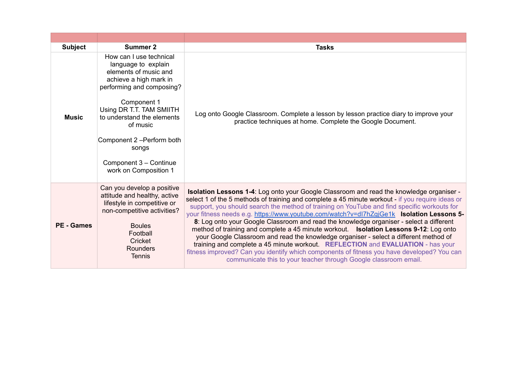| <b>Subject</b>    | Summer 2                                                                                                                                                                                                                                                                                                      | <b>Tasks</b>                                                                                                                                                                                                                                                                                                                                                                                                                                                                                                                                                                                                                                                                                                                                                                                                                                                                                                                      |
|-------------------|---------------------------------------------------------------------------------------------------------------------------------------------------------------------------------------------------------------------------------------------------------------------------------------------------------------|-----------------------------------------------------------------------------------------------------------------------------------------------------------------------------------------------------------------------------------------------------------------------------------------------------------------------------------------------------------------------------------------------------------------------------------------------------------------------------------------------------------------------------------------------------------------------------------------------------------------------------------------------------------------------------------------------------------------------------------------------------------------------------------------------------------------------------------------------------------------------------------------------------------------------------------|
| <b>Music</b>      | How can I use technical<br>language to explain<br>elements of music and<br>achieve a high mark in<br>performing and composing?<br>Component 1<br>Using DR T.T. TAM SMIITH<br>to understand the elements<br>of music<br>Component 2 - Perform both<br>songs<br>Component 3 - Continue<br>work on Composition 1 | Log onto Google Classroom. Complete a lesson by lesson practice diary to improve your<br>practice techniques at home. Complete the Google Document.                                                                                                                                                                                                                                                                                                                                                                                                                                                                                                                                                                                                                                                                                                                                                                               |
| <b>PE</b> - Games | Can you develop a positive<br>attitude and healthy, active<br>lifestyle in competitive or<br>non-competitive activities?<br><b>Boules</b><br>Football<br>Cricket<br><b>Rounders</b><br><b>Tennis</b>                                                                                                          | <b>Isolation Lessons 1-4:</b> Log onto your Google Classroom and read the knowledge organiser -<br>select 1 of the 5 methods of training and complete a 45 minute workout - if you require ideas or<br>support, you should search the method of training on YouTube and find specific workouts for<br>your fitness needs e.g. https://www.youtube.com/watch?v=dl7hZgjGe1k Isolation Lessons 5-<br>8: Log onto your Google Classroom and read the knowledge organiser - select a different<br>method of training and complete a 45 minute workout.  Isolation Lessons 9-12: Log onto<br>your Google Classroom and read the knowledge organiser - select a different method of<br>training and complete a 45 minute workout. REFLECTION and EVALUATION - has your<br>fitness improved? Can you identify which components of fitness you have developed? You can<br>communicate this to your teacher through Google classroom email. |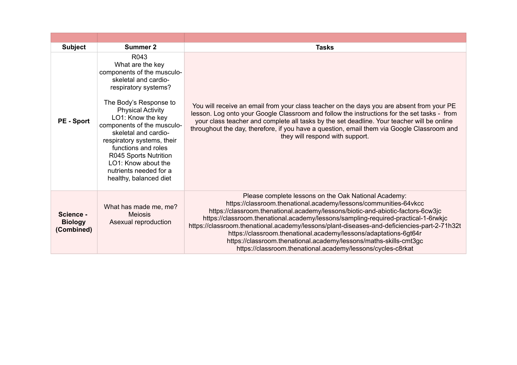| <b>Subject</b>                            | <b>Summer 2</b>                                                                                                                                                                                                                                                                                                                                                                                  | <b>Tasks</b>                                                                                                                                                                                                                                                                                                                                                                                                                                                                                                                                                                                             |
|-------------------------------------------|--------------------------------------------------------------------------------------------------------------------------------------------------------------------------------------------------------------------------------------------------------------------------------------------------------------------------------------------------------------------------------------------------|----------------------------------------------------------------------------------------------------------------------------------------------------------------------------------------------------------------------------------------------------------------------------------------------------------------------------------------------------------------------------------------------------------------------------------------------------------------------------------------------------------------------------------------------------------------------------------------------------------|
| <b>PE</b> - Sport                         | R043<br>What are the key<br>components of the musculo-<br>skeletal and cardio-<br>respiratory systems?<br>The Body's Response to<br><b>Physical Activity</b><br>LO1: Know the key<br>components of the musculo-<br>skeletal and cardio-<br>respiratory systems, their<br>functions and roles<br>R045 Sports Nutrition<br>LO1: Know about the<br>nutrients needed for a<br>healthy, balanced diet | You will receive an email from your class teacher on the days you are absent from your PE<br>lesson. Log onto your Google Classroom and follow the instructions for the set tasks - from<br>your class teacher and complete all tasks by the set deadline. Your teacher will be online<br>throughout the day, therefore, if you have a question, email them via Google Classroom and<br>they will respond with support.                                                                                                                                                                                  |
| Science -<br><b>Biology</b><br>(Combined) | What has made me, me?<br><b>Meiosis</b><br>Asexual reproduction                                                                                                                                                                                                                                                                                                                                  | Please complete lessons on the Oak National Academy:<br>https://classroom.thenational.academy/lessons/communities-64vkcc<br>https://classroom.thenational.academy/lessons/biotic-and-abiotic-factors-6cw3jc<br>https://classroom.thenational.academy/lessons/sampling-required-practical-1-6rwkjc<br>https://classroom.thenational.academy/lessons/plant-diseases-and-deficiencies-part-2-71h32t<br>https://classroom.thenational.academy/lessons/adaptations-6gt64r<br>https://classroom.thenational.academy/lessons/maths-skills-cmt3gc<br>https://classroom.thenational.academy/lessons/cycles-c8rkat |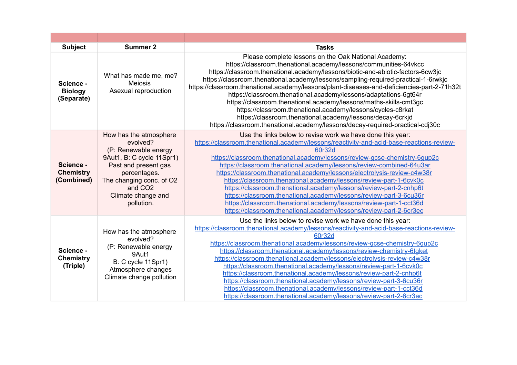| <b>Subject</b>                              | <b>Summer 2</b>                                                                                                                                                                                                        | <b>Tasks</b>                                                                                                                                                                                                                                                                                                                                                                                                                                                                                                                                                                                                                                                                                                                                                      |
|---------------------------------------------|------------------------------------------------------------------------------------------------------------------------------------------------------------------------------------------------------------------------|-------------------------------------------------------------------------------------------------------------------------------------------------------------------------------------------------------------------------------------------------------------------------------------------------------------------------------------------------------------------------------------------------------------------------------------------------------------------------------------------------------------------------------------------------------------------------------------------------------------------------------------------------------------------------------------------------------------------------------------------------------------------|
| Science -<br><b>Biology</b><br>(Separate)   | What has made me, me?<br><b>Meiosis</b><br>Asexual reproduction                                                                                                                                                        | Please complete lessons on the Oak National Academy:<br>https://classroom.thenational.academy/lessons/communities-64vkcc<br>https://classroom.thenational.academy/lessons/biotic-and-abiotic-factors-6cw3jc<br>https://classroom.thenational.academy/lessons/sampling-required-practical-1-6rwkjc<br>https://classroom.thenational.academy/lessons/plant-diseases-and-deficiencies-part-2-71h32t<br>https://classroom.thenational.academy/lessons/adaptations-6gt64r<br>https://classroom.thenational.academy/lessons/maths-skills-cmt3gc<br>https://classroom.thenational.academy/lessons/cycles-c8rkat<br>https://classroom.thenational.academy/lessons/decay-6crkjd<br>https://classroom.thenational.academy/lessons/decay-required-practical-cdj30c           |
| Science -<br><b>Chemistry</b><br>(Combined) | How has the atmosphere<br>evolved?<br>(P: Renewable energy<br>9Aut1, B: C cycle 11Spr1)<br>Past and present gas<br>percentages.<br>The changing conc. of O2<br>and CO <sub>2</sub><br>Climate change and<br>pollution. | Use the links below to revise work we have done this year:<br>https://classroom.thenational.academy/lessons/reactivity-and-acid-base-reactions-review-<br>60r32d<br>https://classroom.thenational.academy/lessons/review-gcse-chemistry-6qup2c<br>https://classroom.thenational.academy/lessons/review-combined-64u3ar<br>https://classroom.thenational.academy/lessons/electrolysis-review-c4w38r<br>https://classroom.thenational.academy/lessons/review-part-1-6cvk0c<br>https://classroom.thenational.academy/lessons/review-part-2-cnhp6t<br>https://classroom.thenational.academy/lessons/review-part-3-6cu36r<br>https://classroom.thenational.academy/lessons/review-part-1-cct36d<br>https://classroom.thenational.academy/lessons/review-part-2-6cr3ec  |
| Science -<br><b>Chemistry</b><br>(Triple)   | How has the atmosphere<br>evolved?<br>(P: Renewable energy<br>9Aut1<br>B: C cycle 11Spr1)<br>Atmosphere changes<br>Climate change pollution                                                                            | Use the links below to revise work we have done this year:<br>https://classroom.thenational.academy/lessons/reactivity-and-acid-base-reactions-review-<br>60r32d<br>https://classroom.thenational.academy/lessons/review-gcse-chemistry-6gup2c<br>https://classroom.thenational.academy/lessons/review-chemistry-6tgket<br>https://classroom.thenational.academy/lessons/electrolysis-review-c4w38r<br>https://classroom.thenational.academy/lessons/review-part-1-6cvk0c<br>https://classroom.thenational.academy/lessons/review-part-2-cnhp6t<br>https://classroom.thenational.academy/lessons/review-part-3-6cu36r<br>https://classroom.thenational.academy/lessons/review-part-1-cct36d<br>https://classroom.thenational.academy/lessons/review-part-2-6cr3ec |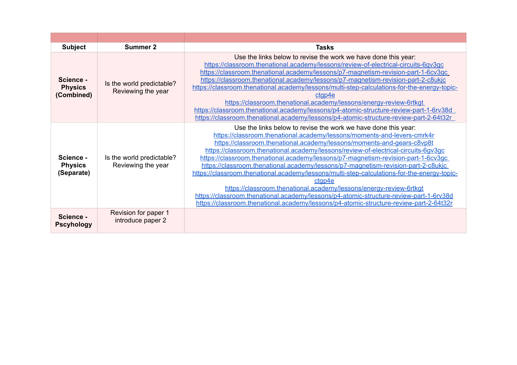| <b>Subject</b>                            | <b>Summer 2</b>                                 | <b>Tasks</b>                                                                                                                                                                                                                                                                                                                                                                                                                                                                                                                                                                                                                                                                                                                                                                                                                                           |
|-------------------------------------------|-------------------------------------------------|--------------------------------------------------------------------------------------------------------------------------------------------------------------------------------------------------------------------------------------------------------------------------------------------------------------------------------------------------------------------------------------------------------------------------------------------------------------------------------------------------------------------------------------------------------------------------------------------------------------------------------------------------------------------------------------------------------------------------------------------------------------------------------------------------------------------------------------------------------|
| Science -<br><b>Physics</b><br>(Combined) | Is the world predictable?<br>Reviewing the year | Use the links below to revise the work we have done this year:<br>https://classroom.thenational.academy/lessons/review-of-electrical-circuits-6qv3qc<br>https://classroom.thenational.academy/lessons/p7-magnetism-revision-part-1-6cv3qc<br>https://classroom.thenational.academy/lessons/p7-magnetism-revision-part-2-c8ukjc<br>https://classroom.thenational.academy/lessons/multi-step-calculations-for-the-energy-topic-<br>ctap4e<br>https://classroom.thenational.academy/lessons/energy-review-6rtkgt<br>https://classroom.thenational.academy/lessons/p4-atomic-structure-review-part-1-6rv38d<br>https://classroom.thenational.academy/lessons/p4-atomic-structure-review-part-2-64t32r                                                                                                                                                      |
| Science -<br><b>Physics</b><br>(Separate) | Is the world predictable?<br>Reviewing the year | Use the links below to revise the work we have done this year:<br>https://classroom.thenational.academy/lessons/moments-and-levers-cmrk4r<br>https://classroom.thenational.academy/lessons/moments-and-gears-c8vp8t<br>https://classroom.thenational.academy/lessons/review-of-electrical-circuits-6qv3qc<br>https://classroom.thenational.academy/lessons/p7-magnetism-revision-part-1-6cv3gc<br>https://classroom.thenational.academy/lessons/p7-magnetism-revision-part-2-c8ukjc<br>https://classroom.thenational.academy/lessons/multi-step-calculations-for-the-energy-topic-<br>ctap4e<br>https://classroom.thenational.academy/lessons/energy-review-6rtkgt<br>https://classroom.thenational.academy/lessons/p4-atomic-structure-review-part-1-6rv38d<br>https://classroom.thenational.academy/lessons/p4-atomic-structure-review-part-2-64t32r |
| Science -<br><b>Pscyhology</b>            | Revision for paper 1<br>introduce paper 2       |                                                                                                                                                                                                                                                                                                                                                                                                                                                                                                                                                                                                                                                                                                                                                                                                                                                        |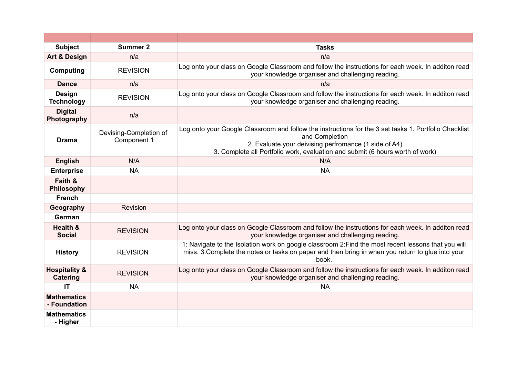| <b>Subject</b>                              | <b>Summer 2</b>                       | <b>Tasks</b>                                                                                                                                                                                                                                                      |
|---------------------------------------------|---------------------------------------|-------------------------------------------------------------------------------------------------------------------------------------------------------------------------------------------------------------------------------------------------------------------|
| <b>Art &amp; Design</b>                     | n/a                                   | n/a                                                                                                                                                                                                                                                               |
| <b>Computing</b>                            | <b>REVISION</b>                       | Log onto your class on Google Classroom and follow the instructions for each week. In additon read<br>your knowledge organiser and challenging reading.                                                                                                           |
| <b>Dance</b>                                | n/a                                   | n/a                                                                                                                                                                                                                                                               |
| Design<br><b>Technology</b>                 | <b>REVISION</b>                       | Log onto your class on Google Classroom and follow the instructions for each week. In additon read<br>your knowledge organiser and challenging reading.                                                                                                           |
| <b>Digital</b><br>Photography               | n/a                                   |                                                                                                                                                                                                                                                                   |
| <b>Drama</b>                                | Devising-Completion of<br>Component 1 | Log onto your Google Classroom and follow the instructions for the 3 set tasks 1. Portfolio Checklist<br>and Completion<br>2. Evaluate your deivising perfromance (1 side of A4)<br>3. Complete all Portfolio work, evaluation and submit (6 hours worth of work) |
| <b>English</b>                              | N/A                                   | N/A                                                                                                                                                                                                                                                               |
| <b>Enterprise</b>                           | <b>NA</b>                             | <b>NA</b>                                                                                                                                                                                                                                                         |
| Faith &<br><b>Philosophy</b>                |                                       |                                                                                                                                                                                                                                                                   |
| <b>French</b>                               |                                       |                                                                                                                                                                                                                                                                   |
| Geography                                   | Revision                              |                                                                                                                                                                                                                                                                   |
| German                                      |                                       |                                                                                                                                                                                                                                                                   |
| <b>Health &amp;</b><br><b>Social</b>        | <b>REVISION</b>                       | Log onto your class on Google Classroom and follow the instructions for each week. In additon read<br>your knowledge organiser and challenging reading.                                                                                                           |
| <b>History</b>                              | <b>REVISION</b>                       | 1: Navigate to the Isolation work on google classroom 2: Find the most recent lessons that you will<br>miss. 3: Complete the notes or tasks on paper and then bring in when you return to glue into your<br>book.                                                 |
| <b>Hospitality &amp;</b><br><b>Catering</b> | <b>REVISION</b>                       | Log onto your class on Google Classroom and follow the instructions for each week. In additon read<br>your knowledge organiser and challenging reading.                                                                                                           |
| <b>IT</b>                                   | <b>NA</b>                             | <b>NA</b>                                                                                                                                                                                                                                                         |
| <b>Mathematics</b><br>- Foundation          |                                       |                                                                                                                                                                                                                                                                   |
| <b>Mathematics</b><br>- Higher              |                                       |                                                                                                                                                                                                                                                                   |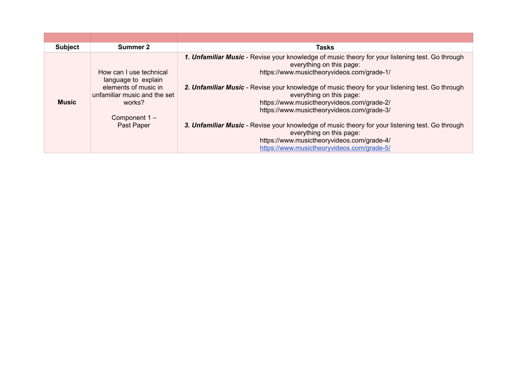| <b>Subject</b> | Summer 2                                                                                                                                        | <b>Tasks</b>                                                                                                                                                                                                                                                                                                                                                                                                                                                                                                                                                                                                                    |
|----------------|-------------------------------------------------------------------------------------------------------------------------------------------------|---------------------------------------------------------------------------------------------------------------------------------------------------------------------------------------------------------------------------------------------------------------------------------------------------------------------------------------------------------------------------------------------------------------------------------------------------------------------------------------------------------------------------------------------------------------------------------------------------------------------------------|
| <b>Music</b>   | How can I use technical<br>language to explain<br>elements of music in<br>unfamiliar music and the set<br>works?<br>Component 1 –<br>Past Paper | 1. Unfamiliar Music - Revise your knowledge of music theory for your listening test. Go through<br>everything on this page:<br>https://www.musictheoryvideos.com/grade-1/<br>2. Unfamiliar Music - Revise your knowledge of music theory for your listening test. Go through<br>everything on this page:<br>https://www.musictheoryvideos.com/grade-2/<br>https://www.musictheoryvideos.com/grade-3/<br>3. Unfamiliar Music - Revise your knowledge of music theory for your listening test. Go through<br>everything on this page:<br>https://www.musictheoryvideos.com/grade-4/<br>https://www.musictheoryvideos.com/grade-5/ |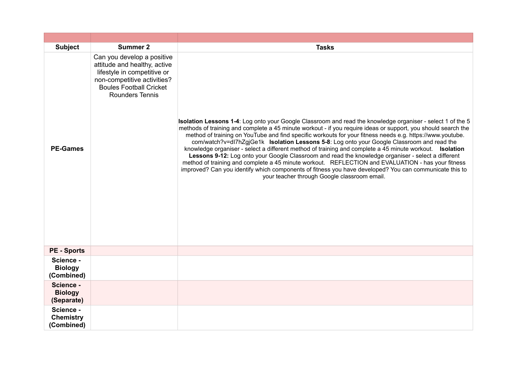| <b>Subject</b>                              | <b>Summer 2</b>                                                                                                                                                                      | <b>Tasks</b>                                                                                                                                                                                                                                                                                                                                                                                                                                                                                                                                                                                                                                                                                                                                                                                                                                                                                                                  |
|---------------------------------------------|--------------------------------------------------------------------------------------------------------------------------------------------------------------------------------------|-------------------------------------------------------------------------------------------------------------------------------------------------------------------------------------------------------------------------------------------------------------------------------------------------------------------------------------------------------------------------------------------------------------------------------------------------------------------------------------------------------------------------------------------------------------------------------------------------------------------------------------------------------------------------------------------------------------------------------------------------------------------------------------------------------------------------------------------------------------------------------------------------------------------------------|
| <b>PE-Games</b>                             | Can you develop a positive<br>attitude and healthy, active<br>lifestyle in competitive or<br>non-competitive activities?<br><b>Boules Football Cricket</b><br><b>Rounders Tennis</b> | Isolation Lessons 1-4: Log onto your Google Classroom and read the knowledge organiser - select 1 of the 5<br>methods of training and complete a 45 minute workout - if you require ideas or support, you should search the<br>method of training on YouTube and find specific workouts for your fitness needs e.g. https://www.youtube.<br>com/watch?v=dl7hZgjGe1k Isolation Lessons 5-8: Log onto your Google Classroom and read the<br>knowledge organiser - select a different method of training and complete a 45 minute workout. <b>Isolation</b><br>Lessons 9-12: Log onto your Google Classroom and read the knowledge organiser - select a different<br>method of training and complete a 45 minute workout. REFLECTION and EVALUATION - has your fitness<br>improved? Can you identify which components of fitness you have developed? You can communicate this to<br>your teacher through Google classroom email. |
| <b>PE - Sports</b>                          |                                                                                                                                                                                      |                                                                                                                                                                                                                                                                                                                                                                                                                                                                                                                                                                                                                                                                                                                                                                                                                                                                                                                               |
| Science -<br><b>Biology</b><br>(Combined)   |                                                                                                                                                                                      |                                                                                                                                                                                                                                                                                                                                                                                                                                                                                                                                                                                                                                                                                                                                                                                                                                                                                                                               |
| Science -<br><b>Biology</b><br>(Separate)   |                                                                                                                                                                                      |                                                                                                                                                                                                                                                                                                                                                                                                                                                                                                                                                                                                                                                                                                                                                                                                                                                                                                                               |
| Science -<br><b>Chemistry</b><br>(Combined) |                                                                                                                                                                                      |                                                                                                                                                                                                                                                                                                                                                                                                                                                                                                                                                                                                                                                                                                                                                                                                                                                                                                                               |